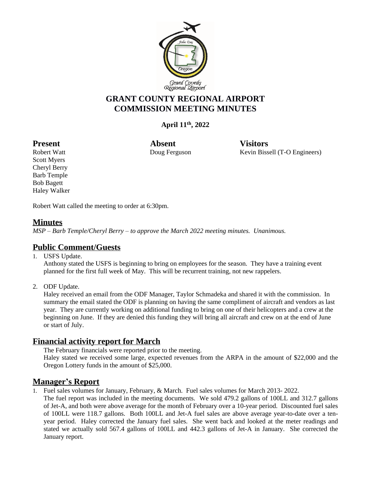

# **GRANT COUNTY REGIONAL AIRPORT COMMISSION MEETING MINUTES**

## **April 11 th, 2022**

Present Absent Visitors

Robert Watt **National Convention Convertering Convertision** Exercise Revin Bissell (T-O Engineers)

Scott Myers Cheryl Berry Barb Temple Bob Bagett Haley Walker

Robert Watt called the meeting to order at 6:30pm.

## **Minutes**

*MSP – Barb Temple/Cheryl Berry – to approve the March 2022 meeting minutes. Unanimous.*

## **Public Comment/Guests**

1. USFS Update.

Anthony stated the USFS is beginning to bring on employees for the season. They have a training event planned for the first full week of May. This will be recurrent training, not new rappelers.

2. ODF Update.

Haley received an email from the ODF Manager, Taylor Schmadeka and shared it with the commission. In summary the email stated the ODF is planning on having the same compliment of aircraft and vendors as last year. They are currently working on additional funding to bring on one of their helicopters and a crew at the beginning on June. If they are denied this funding they will bring all aircraft and crew on at the end of June or start of July.

## **Financial activity report for March**

The February financials were reported prior to the meeting.

Haley stated we received some large, expected revenues from the ARPA in the amount of \$22,000 and the Oregon Lottery funds in the amount of \$25,000.

## **Manager's Report**

1. Fuel sales volumes for January, February, & March. Fuel sales volumes for March 2013- 2022.

The fuel report was included in the meeting documents. We sold 479.2 gallons of 100LL and 312.7 gallons of Jet-A, and both were above average for the month of February over a 10-year period. Discounted fuel sales of 100LL were 118.7 gallons. Both 100LL and Jet-A fuel sales are above average year-to-date over a tenyear period. Haley corrected the January fuel sales. She went back and looked at the meter readings and stated we actually sold 567.4 gallons of 100LL and 442.3 gallons of Jet-A in January. She corrected the January report.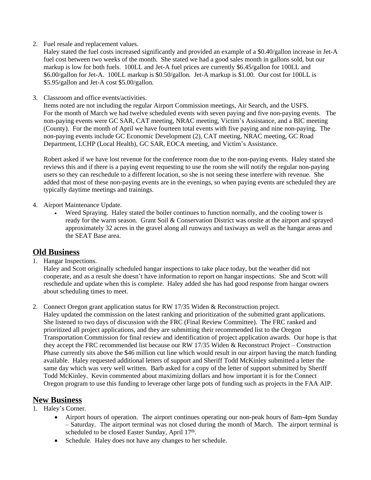2. Fuel resale and replacement values.

Haley stated the fuel costs increased significantly and provided an example of a \$0.40/gallon increase in Jet-A fuel cost between two weeks of the month. She stated we had a good sales month in gallons sold, but our markup is low for both fuels. 100LL and Jet-A fuel prices are currently \$6.45/gallon for 100LL and \$6.00/gallon for Jet-A. 100LL markup is \$0.50/gallon. Jet-A markup is \$1.00. Our cost for 100LL is \$5.95/gallon and Jet-A cost \$5.00/gallon.

3. Classroom and office events/activities.

Items noted are not including the regular Airport Commission meetings, Air Search, and the USFS. For the month of March we had twelve scheduled events with seven paying and five non-paying events. The non-paying events were GC SAR, CAT meeting, NRAC meeting, Victim's Assistance, and a BIC meeting (County). For the month of April we have fourteen total events with five paying and nine non-paying. The non-paying events include GC Economic Development (2), CAT meeting, NRAC meeting, GC Road Department, LCHP (Local Health), GC SAR, EOCA meeting, and Victim's Assistance.

Robert asked if we have lost revenue for the conference room due to the non-paying events. Haley stated she reviews this and if there is a paying event requesting to use the room she will notify the regular non-paying users so they can reschedule to a different location, so she is not seeing these interfere with revenue. She added that most of these non-paying events are in the evenings, so when paying events are scheduled they are typically daytime meetings and trainings.

- 4. Airport Maintenance Update.
	- Weed Spraying. Haley stated the boiler continues to function normally, and the cooling tower is ready for the warm season. Grant Soil & Conservation District was onsite at the airport and sprayed approximately 32 acres in the gravel along all runways and taxiways as well as the hangar areas and the SEAT Base area.

#### **Old Business**

1. Hangar Inspections.

Haley and Scott originally scheduled hangar inspections to take place today, but the weather did not cooperate, and as a result she doesn't have information to report on hangar inspections. She and Scott will reschedule and update when this is complete. Haley added she has had good response from hangar owners about scheduling times to meet.

2. Connect Oregon grant application status for RW 17/35 Widen & Reconstruction project. Haley updated the commission on the latest ranking and prioritization of the submitted grant applications. She listened to two days of discussion with the FRC (Final Review Committee). The FRC ranked and prioritized all project applications, and they are submitting their recommended list to the Oregon Transportation Commission for final review and identification of project application awards. Our hope is that they accept the FRC recommended list because our RW 17/35 Widen & Reconstruct Project – Construction Phase currently sits above the \$46 million cut line which would result in our airport having the match funding available. Haley requested additional letters of support and Sheriff Todd McKinley submitted a letter the same day which was very well written. Barb asked for a copy of the letter of support submitted by Sheriff Todd McKinley. Kevin commented about maximizing dollars and how important it is for the Connect Oregon program to use this funding to leverage other large pots of funding such as projects in the FAA AIP.

#### **New Business**

#### 1. Haley's Corner.

- Airport hours of operation. The airport continues operating our non-peak hours of 8am-4pm Sunday – Saturday. The airport terminal was not closed during the month of March. The airport terminal is scheduled to be closed Easter Sunday, April 17th.
- Schedule. Haley does not have any changes to her schedule.